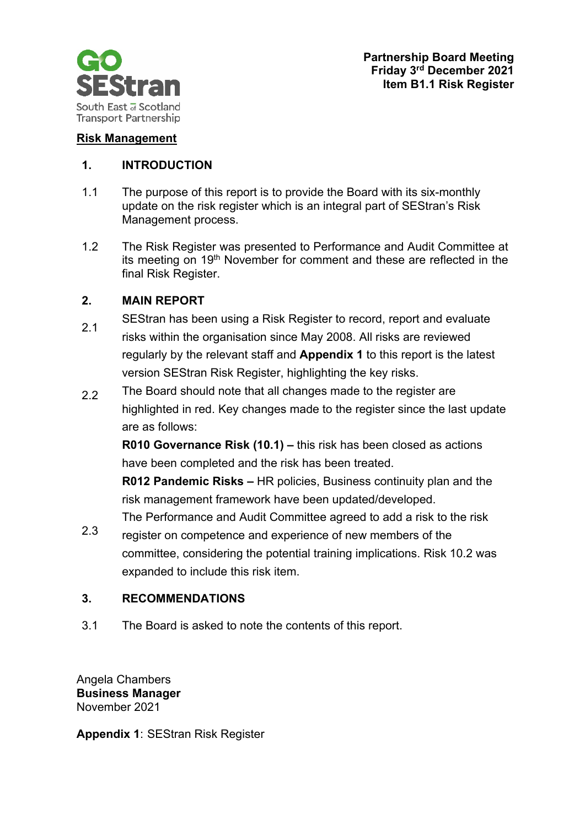

## **Risk Management**

## **1. INTRODUCTION**

- 1.1 The purpose of this report is to provide the Board with its six-monthly update on the risk register which is an integral part of SEStran's Risk Management process.
- 1.2 The Risk Register was presented to Performance and Audit Committee at its meeting on 19<sup>th</sup> November for comment and these are reflected in the final Risk Register.

## **2. MAIN REPORT**

- 2.1 SEStran has been using a Risk Register to record, report and evaluate risks within the organisation since May 2008. All risks are reviewed regularly by the relevant staff and **Appendix 1** to this report is the latest version SEStran Risk Register, highlighting the key risks.
- 2.2 The Board should note that all changes made to the register are highlighted in red. Key changes made to the register since the last update are as follows:

**R010 Governance Risk (10.1) –** this risk has been closed as actions have been completed and the risk has been treated.

**R012 Pandemic Risks –** HR policies, Business continuity plan and the risk management framework have been updated/developed.

The Performance and Audit Committee agreed to add a risk to the risk

2.3 register on competence and experience of new members of the committee, considering the potential training implications. Risk 10.2 was expanded to include this risk item.

## **3. RECOMMENDATIONS**

3.1 The Board is asked to note the contents of this report.

Angela Chambers **Business Manager**  November 2021

**Appendix 1**: SEStran Risk Register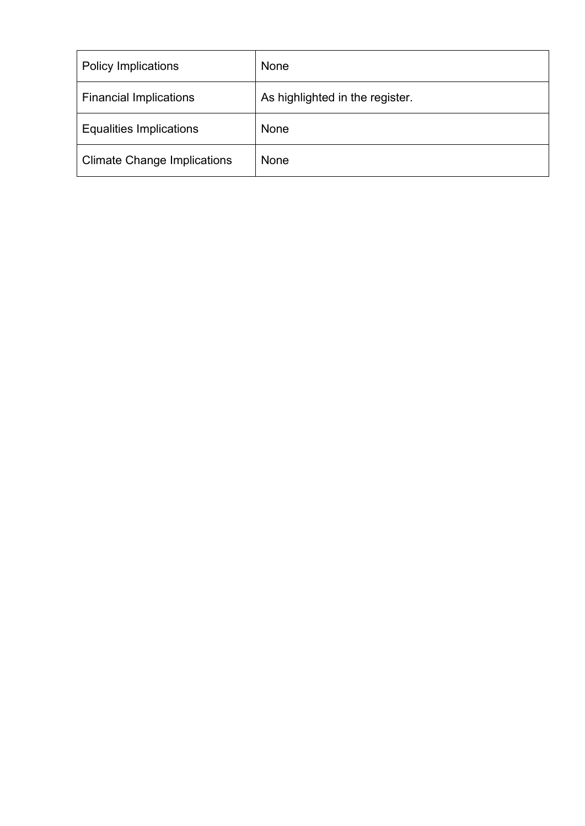| <b>Policy Implications</b>         | None                            |
|------------------------------------|---------------------------------|
| <b>Financial Implications</b>      | As highlighted in the register. |
| <b>Equalities Implications</b>     | None                            |
| <b>Climate Change Implications</b> | None                            |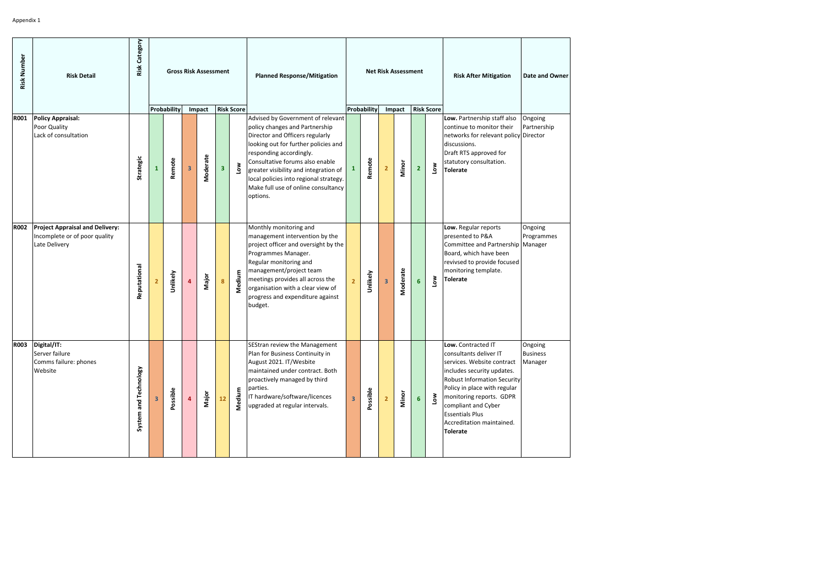| Risk Number | <b>Risk Detail</b>                                                                       | <b>Category</b><br>Risk |                |             |                         | <b>Gross Risk Assessment</b> |                |                       | <b>Planned Response/Mitigation</b>                                                                                                                                                                                                                                                                                                                 |                         |             |                         | <b>Net Risk Assessment</b> |                |                       | <b>Risk After Mitigation</b>                                                                                                                                                                                                                                                                                | <b>Date and Owner</b>                 |
|-------------|------------------------------------------------------------------------------------------|-------------------------|----------------|-------------|-------------------------|------------------------------|----------------|-----------------------|----------------------------------------------------------------------------------------------------------------------------------------------------------------------------------------------------------------------------------------------------------------------------------------------------------------------------------------------------|-------------------------|-------------|-------------------------|----------------------------|----------------|-----------------------|-------------------------------------------------------------------------------------------------------------------------------------------------------------------------------------------------------------------------------------------------------------------------------------------------------------|---------------------------------------|
|             |                                                                                          |                         |                | Probability |                         | Impact                       |                | <b>Risk Score</b>     |                                                                                                                                                                                                                                                                                                                                                    |                         | Probability |                         | Impact                     |                | <b>Risk Score</b>     |                                                                                                                                                                                                                                                                                                             |                                       |
| <b>R001</b> | <b>Policy Appraisal:</b><br>Poor Quality<br>Lack of consultation                         | Strategic               | $\mathbf{1}$   | Remote      | $\overline{\mathbf{3}}$ | Moderate                     | 3 <sup>1</sup> | $\sum_{i=1}^{\infty}$ | Advised by Government of relevant<br>policy changes and Partnership<br>Director and Officers regularly<br>looking out for further policies and<br>responding accordingly.<br>Consultative forums also enable<br>greater visibility and integration of<br>local policies into regional strategy.<br>Make full use of online consultancy<br>options. | 1                       | Remote      | $\overline{2}$          | Minor                      | $\overline{2}$ | <b>Nor</b>            | Low. Partnership staff also<br>continue to monitor their<br>networks for relevant policy Director<br>discussions.<br>Draft RTS approved for<br>statutory consultation.<br><b>Tolerate</b>                                                                                                                   | Ongoing<br>Partnership                |
| <b>R002</b> | <b>Project Appraisal and Delivery:</b><br>Incomplete or of poor quality<br>Late Delivery | Reputational            | $\overline{2}$ | Unlikely    | 4                       | Major                        | 8              | Medium                | Monthly monitoring and<br>management intervention by the<br>project officer and oversight by the<br>Programmes Manager.<br>Regular monitoring and<br>management/project team<br>meetings provides all across the<br>organisation with a clear view of<br>progress and expenditure against<br>budget.                                               | $\overline{2}$          | Unlikely    | $\overline{\mathbf{3}}$ | Moderate                   | $6\phantom{1}$ | Low                   | Low. Regular reports<br>presented to P&A<br>Committee and Partnership Manager<br>Board, which have been<br>revivsed to provide focused<br>monitoring template.<br><b>Tolerate</b>                                                                                                                           | Ongoing<br>Programmes                 |
|             | R003 Digital/IT:<br>Server failure<br>Comms failure: phones<br>Website                   | System and Technology   | 3              | Possible    |                         | Major                        | ${\bf 12}$     | Medium                | SEStran review the Management<br>Plan for Business Continuity in<br>August 2021. IT/Wesbite<br>maintained under contract. Both<br>proactively managed by third<br>parties.<br>IT hardware/software/licences<br>upgraded at regular intervals.                                                                                                      | $\overline{\mathbf{3}}$ | Possible    | $\overline{2}$          | Minor                      | 6 <sup>1</sup> | $\sum_{i=1}^{\infty}$ | Low. Contracted IT<br>consultants deliver IT<br>services. Website contract<br>includes security updates.<br><b>Robust Information Security</b><br>Policy in place with regular<br>monitoring reports. GDPR<br>compliant and Cyber<br><b>Essentials Plus</b><br>Accreditation maintained.<br><b>Tolerate</b> | Ongoing<br><b>Business</b><br>Manager |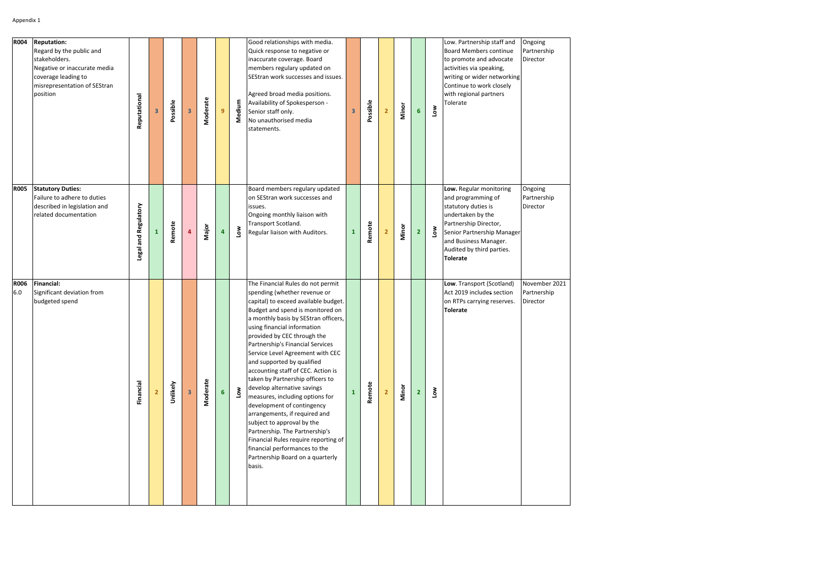| <b>R004</b>        | <b>Reputation:</b><br>Regard by the public and<br>stakeholders.<br>Negative or inaccurate media<br>coverage leading to<br>misrepresentation of SEStran<br>position | Reputational         | 3 | Possible | 3  | Moderate | 9 <sup>°</sup>          | Medium | Good relationships with media.<br>Quick response to negative or<br>inaccurate coverage. Board<br>members regulary updated on<br>SEStran work successes and issues.<br>Agreed broad media positions.<br>Availability of Spokesperson -<br>Senior staff only.<br>No unauthorised media<br>statements.                                                                                                                                                                                                                                                                                                                                                                                                                                                         | $\overline{\mathbf{3}}$ | Possible | $\overline{2}$ | Minor | 6              | Low        | Low. Partnership staff and<br><b>Board Members continue</b><br>to promote and advocate<br>activities via speaking,<br>writing or wider networking<br>Continue to work closely<br>with regional partners<br>Tolerate       | Ongoing<br>Partnership<br>Director       |
|--------------------|--------------------------------------------------------------------------------------------------------------------------------------------------------------------|----------------------|---|----------|----|----------|-------------------------|--------|-------------------------------------------------------------------------------------------------------------------------------------------------------------------------------------------------------------------------------------------------------------------------------------------------------------------------------------------------------------------------------------------------------------------------------------------------------------------------------------------------------------------------------------------------------------------------------------------------------------------------------------------------------------------------------------------------------------------------------------------------------------|-------------------------|----------|----------------|-------|----------------|------------|---------------------------------------------------------------------------------------------------------------------------------------------------------------------------------------------------------------------------|------------------------------------------|
| <b>R005</b>        | <b>Statutory Duties:</b><br>Failure to adhere to duties<br>described in legislation and<br>related documentation                                                   | Legal and Regulatory | 1 | Remote   | 4  | Major    | $\overline{\mathbf{4}}$ | Low    | Board members regulary updated<br>on SEStran work successes and<br>issues.<br>Ongoing monthly liaison with<br>Transport Scotland.<br>Regular liaison with Auditors.                                                                                                                                                                                                                                                                                                                                                                                                                                                                                                                                                                                         | $\mathbf{1}$            | Remote   | $\overline{2}$ | Minor | $\overline{2}$ | <b>Nor</b> | Low. Regular monitoring<br>and programming of<br>statutory duties is<br>undertaken by the<br>Partnership Director,<br>Senior Partnership Manager<br>and Business Manager.<br>Audited by third parties.<br><b>Tolerate</b> | Ongoing<br>Partnership<br>Director       |
| <b>R006</b><br>6.0 | Financial:<br>Significant deviation from<br>budgeted spend                                                                                                         | Financial            |   | Unlikely | 3. | Moderate | 6 <sup>1</sup>          | Low    | The Financial Rules do not permit<br>spending (whether revenue or<br>capital) to exceed available budget.<br>Budget and spend is monitored on<br>a monthly basis by SEStran officers,<br>using financial information<br>provided by CEC through the<br>Partnership's Financial Services<br>Service Level Agreement with CEC<br>and supported by qualified<br>accounting staff of CEC. Action is<br>taken by Partnership officers to<br>develop alternative savings<br>measures, including options for<br>development of contingency<br>arrangements, if required and<br>subject to approval by the<br>Partnership. The Partnership's<br>Financial Rules require reporting of<br>financial performances to the<br>Partnership Board on a quarterly<br>basis. | $\mathbf{1}$            | Remote   | 2 <sup>2</sup> | Minor | $\overline{2}$ | <b>Nor</b> | Low. Transport (Scotland)<br>Act 2019 includes section<br>on RTPs carrying reserves.<br><b>Tolerate</b>                                                                                                                   | November 2021<br>Partnership<br>Director |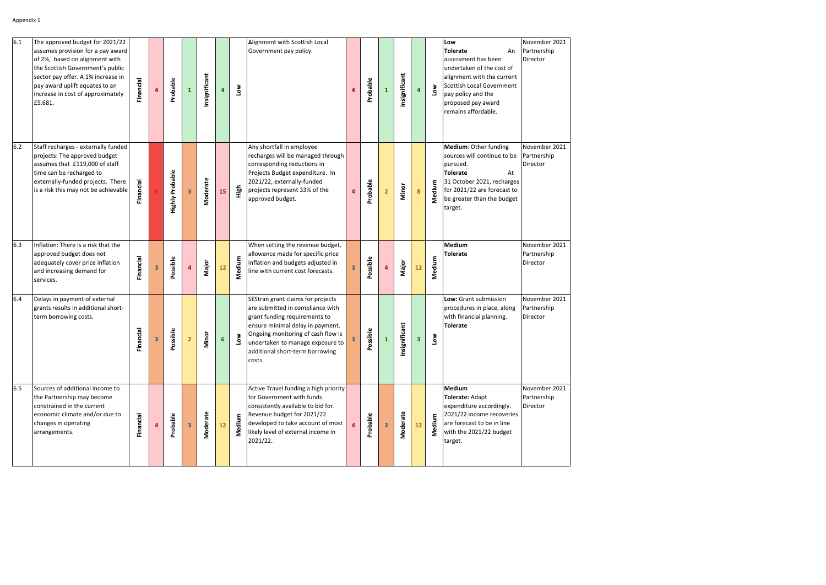| 6.1 | The approved budget for 2021/22<br>assumes provision for a pay award<br>of 2%, based on alignment with<br>the Scottish Government's public<br>sector pay offer. A 1% increase in<br>pay award uplift equates to an<br>increase in cost of approximately<br>£5,681. | <b>Financial</b> |   | Probable               | 1                       | Insignificant | $\overline{\mathbf{4}}$ | <b>No7</b> | Alignment with Scottish Local<br>Government pay policy.                                                                                                                                                                                                           |   | Probable     | $\mathbf{1}$            | Insignificant | 4  | <b>Nor</b> | Low<br><b>Tolerate</b><br>An<br>assessment has been<br>undertaken of the cost of<br>alignment with the current<br>Scottish Local Government<br>pay policy and the<br>proposed pay award<br>remains affordable. | November 2021<br>Partnership<br>Director |
|-----|--------------------------------------------------------------------------------------------------------------------------------------------------------------------------------------------------------------------------------------------------------------------|------------------|---|------------------------|-------------------------|---------------|-------------------------|------------|-------------------------------------------------------------------------------------------------------------------------------------------------------------------------------------------------------------------------------------------------------------------|---|--------------|-------------------------|---------------|----|------------|----------------------------------------------------------------------------------------------------------------------------------------------------------------------------------------------------------------|------------------------------------------|
| 6.2 | Staff recharges - externally funded<br>projects: The approved budget<br>assumes that £119,000 of staff<br>time can be recharged to<br>externally-funded projects. There<br>is a risk this may not be achievable                                                    | Financial        |   | <b>Highly Probable</b> | $\overline{\mathbf{3}}$ | Moderate      | 15                      | High       | Any shortfall in employee<br>recharges will be managed through<br>corresponding reductions in<br>Projects Budget expenditure. In<br>2021/22, externally-funded<br>projects represent 33% of the<br>approved budget.                                               | 4 | Probable     | $\overline{2}$          | Minor         | 8  | Medium     | Medium: Other funding<br>sources will continue to be<br>pursued.<br><b>Tolerate</b><br>At<br>31 October 2021, recharges<br>for 2021/22 are forecast to<br>be greater than the budget<br>target.                | November 2021<br>Partnership<br>Director |
| 6.3 | Inflation: There is a risk that the<br>approved budget does not<br>adequately cover price inflation<br>and increasing demand for<br>services.                                                                                                                      | Financial        | 3 | Possible               | 4                       | Major         | 12                      | Medium     | When setting the revenue budget,<br>allowance made for specific price<br>inflation and budgets adjusted in<br>line with current cost forecasts.                                                                                                                   |   | Possible     | $\overline{\mathbf{4}}$ | Major         | 12 | Medium     | Medium<br><b>Tolerate</b>                                                                                                                                                                                      | November 2021<br>Partnership<br>Director |
| 6.4 | Delays in payment of external<br>grants results in additional short-<br>term borrowing costs.                                                                                                                                                                      | lancial<br>운     | 3 | ossible<br>운           | $\overline{\mathbf{2}}$ | Minor         | $6\phantom{a}$          | Low        | SEStran grant claims for projects<br>are submitted in compliance with<br>grant funding requirements to<br>ensure minimal delay in payment.<br>Ongoing monitoring of cash flow is<br>undertaken to manage exposure to<br>additional short-term borrowing<br>costs. | 3 | ossible<br>2 | $\mathbf 1$             | Insignificant | 3  | Μoη        | Low: Grant submission<br>procedures in place, along<br>with financial planning.<br><b>Tolerate</b>                                                                                                             | November 2021<br>Partnership<br>Director |
| 6.5 | Sources of additional income to<br>the Partnership may become<br>constrained in the current<br>economic climate and/or due to<br>changes in operating<br>arrangements.                                                                                             | Financial        |   | Probable               | $\mathbf{3}$            | Moderate      | $12$                    | Medium     | Active Travel funding a high priority<br>for Government with funds<br>consistently available to bid for.<br>Revenue budget for 2021/22<br>developed to take account of most<br>likely level of external income in<br>2021/22.                                     |   | Probable     | 3                       | Moderate      | 12 | Medium     | <b>Medium</b><br>Tolerate: Adapt<br>expenditure accordingly.<br>2021/22 income recoveries<br>are forecast to be in line<br>with the 2021/22 budget<br>target.                                                  | November 2021<br>Partnership<br>Director |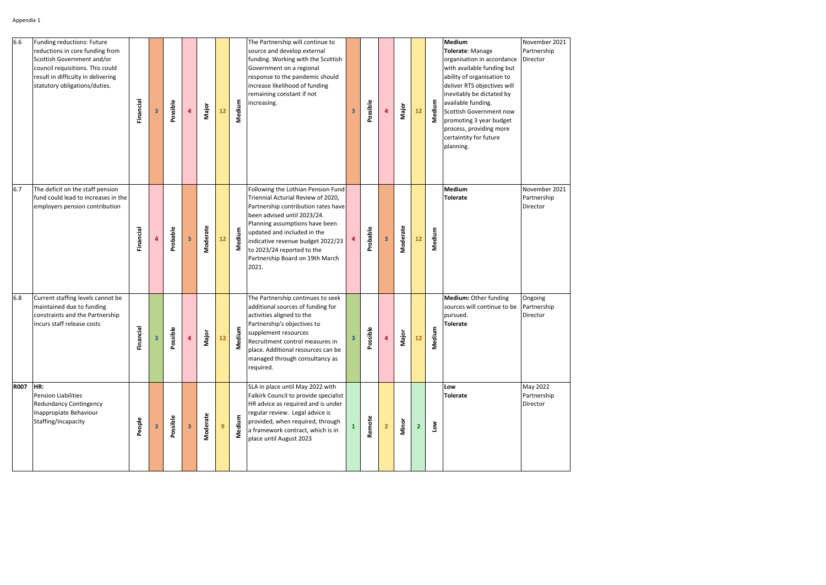| 6.6         | Funding reductions: Future<br>reductions in core funding from<br>Scottish Government and/or<br>council requisitions. This could<br>result in difficulty in delivering<br>statutory obligations/duties. | Financial      | $\overline{\mathbf{3}}$ | Possible     | 4                       | Major    | 12 | Medium | The Partnership will continue to<br>source and develop external<br>funding. Working with the Scottish<br>Government on a regional<br>response to the pandemic should<br>increase likelihood of funding<br>remaining constant if not<br>increasing.                                                                             | 3            | Possible      | 4 | Major    | 12             | Medium | Medium<br>Tolerate: Manage<br>organisation in accordance<br>with available funding but<br>ability of organisation to<br>deliver RTS objectives will<br>inevitably be dictated by<br>available funding.<br>Scottish Government now<br>promoting 3 year budget<br>process, providing more<br>certaintity for future<br>planning. | November 2021<br>Partnership<br>Director |
|-------------|--------------------------------------------------------------------------------------------------------------------------------------------------------------------------------------------------------|----------------|-------------------------|--------------|-------------------------|----------|----|--------|--------------------------------------------------------------------------------------------------------------------------------------------------------------------------------------------------------------------------------------------------------------------------------------------------------------------------------|--------------|---------------|---|----------|----------------|--------|--------------------------------------------------------------------------------------------------------------------------------------------------------------------------------------------------------------------------------------------------------------------------------------------------------------------------------|------------------------------------------|
| 6.7         | The deficit on the staff pension<br>fund could lead to increases in the<br>employers pension contribution                                                                                              | Financial      | $\overline{4}$          | Probable     | $\overline{\mathbf{3}}$ | Moderate | 12 | Medium | Following the Lothian Pension Fund<br>Triennial Acturial Review of 2020,<br>Partnership contribution rates have<br>been advised until 2023/24.<br>Planning assumptions have been<br>updated and included in the<br>indicative revenue budget 2022/23<br>to 2023/24 reported to the<br>Partnership Board on 19th March<br>2021. | 4            | Probable      | 3 | Moderate | 12             | Medium | <b>Medium</b><br><b>Tolerate</b>                                                                                                                                                                                                                                                                                               | November 2021<br>Partnership<br>Director |
| 6.8         | Current staffing levels cannot be<br>maintained due to funding<br>constraints and the Partnership<br>incurs staff release costs                                                                        | nancial<br>ïΓ, | 3                       | ossible<br>௳ | 4                       | Major    | 12 | Medium | The Partnership continues to seek<br>additional sources of funding for<br>activities aligned to the<br>Partnership's objectives to<br>supplement resources<br>Recruitment control measures in<br>place. Additional resources can be<br>managed through consultancy as<br>required.                                             | 3            | ossible<br>Δ. | 4 | Major    | 12             | Medium | Medium: Other funding<br>sources will continue to be<br>pursued.<br><b>Tolerate</b>                                                                                                                                                                                                                                            | Ongoing<br>Partnership<br>Director       |
| <b>R007</b> | HR:<br>Pension Liabilities<br><b>Redundancy Contingency</b><br>Inappropiate Behaviour<br>Staffing/Incapacity                                                                                           | People         | $\overline{\mathbf{3}}$ | Possible     | $\mathbf{3}$            | Moderate | 9  | Medium | SLA in place until May 2022 with<br>Falkirk Council to provide specialist<br>HR advice as required and is under<br>regular review. Legal advice is<br>provided, when required, through<br>a framework contract, which is in<br>place until August 2023                                                                         | $\mathbf{1}$ | Remote        |   | Minor    | $\overline{2}$ | Low    | Low<br><b>Tolerate</b>                                                                                                                                                                                                                                                                                                         | May 2022<br>Partnership<br>Director      |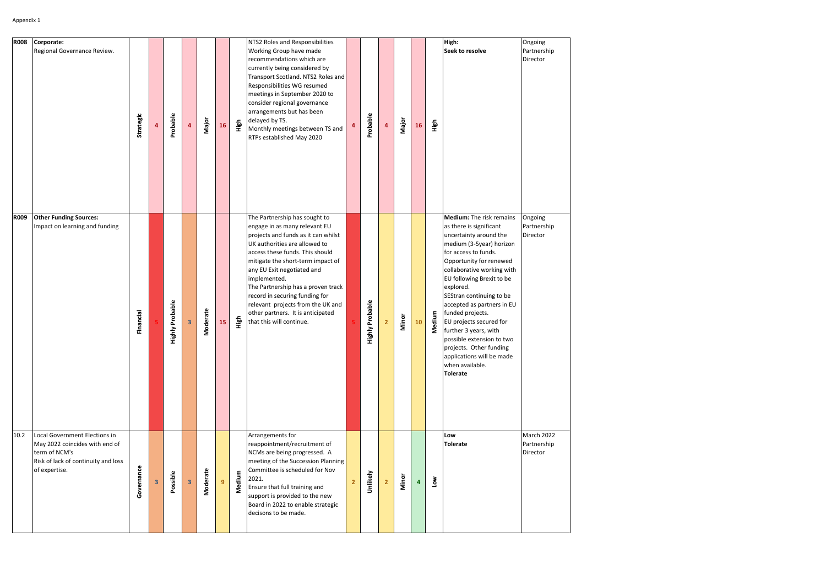| <b>R008</b> | Corporate:<br>Regional Governance Review.                                                                                                | Strategic  |   | Probable        | $\overline{4}$ | Major    | 16 | High   | NTS2 Roles and Responsibilities<br>Working Group have made<br>recommendations which are<br>currently being considered by<br>Transport Scotland. NTS2 Roles and<br>Responsibilities WG resumed<br>meetings in September 2020 to<br>consider regional governance<br>arrangements but has been<br>delayed by TS.<br>Monthly meetings between TS and<br>RTPs established May 2020                                                              | 4              | Probable               | $\overline{\mathbf{4}}$ | Major | <b>16</b>               | High   | High:<br>Seek to resolve                                                                                                                                                                                                                                                                                                                                                                                                                                                                          | Ongoing<br>Partnership<br>Director    |
|-------------|------------------------------------------------------------------------------------------------------------------------------------------|------------|---|-----------------|----------------|----------|----|--------|--------------------------------------------------------------------------------------------------------------------------------------------------------------------------------------------------------------------------------------------------------------------------------------------------------------------------------------------------------------------------------------------------------------------------------------------|----------------|------------------------|-------------------------|-------|-------------------------|--------|---------------------------------------------------------------------------------------------------------------------------------------------------------------------------------------------------------------------------------------------------------------------------------------------------------------------------------------------------------------------------------------------------------------------------------------------------------------------------------------------------|---------------------------------------|
| <b>R009</b> | <b>Other Funding Sources:</b><br>Impact on learning and funding                                                                          | Financial  |   | Highly Probable | 3              | Moderate | 15 | High   | The Partnership has sought to<br>engage in as many relevant EU<br>projects and funds as it can whilst<br>UK authorities are allowed to<br>access these funds. This should<br>mitigate the short-term impact of<br>any EU Exit negotiated and<br>implemented.<br>The Partnership has a proven track<br>record in securing funding for<br>relevant projects from the UK and<br>other partners. It is anticipated<br>that this will continue. |                | <b>Highly Probable</b> | 2 <sup>2</sup>          | Minor | 10                      | Medium | Medium: The risk remains<br>as there is significant<br>uncertainty around the<br>medium (3-5year) horizon<br>for access to funds.<br>Opportunity for renewed<br>collaborative working with<br>EU following Brexit to be<br>explored.<br>SEStran continuing to be<br>accepted as partners in EU<br>funded projects.<br>EU projects secured for<br>further 3 years, with<br>possible extension to two<br>projects. Other funding<br>applications will be made<br>when available.<br><b>Tolerate</b> | Ongoing<br>Partnership<br>Director    |
| 10.2        | Local Government Elections in<br>May 2022 coincides with end of<br>term of NCM's<br>Risk of lack of continuity and loss<br>of expertise. | Governance | 3 | Possible        | 3              | Moderate | 9  | Medium | Arrangements for<br>reappointment/recruitment of<br>NCMs are being progressed. A<br>meeting of the Succession Planning<br>Committee is scheduled for Nov<br>2021.<br>Ensure that full training and<br>support is provided to the new<br>Board in 2022 to enable strategic<br>decisons to be made.                                                                                                                                          | $\overline{2}$ | Unlikely               | $\overline{2}$          | Minor | $\overline{\mathbf{4}}$ | Low    | Low<br><b>Tolerate</b>                                                                                                                                                                                                                                                                                                                                                                                                                                                                            | March 2022<br>Partnership<br>Director |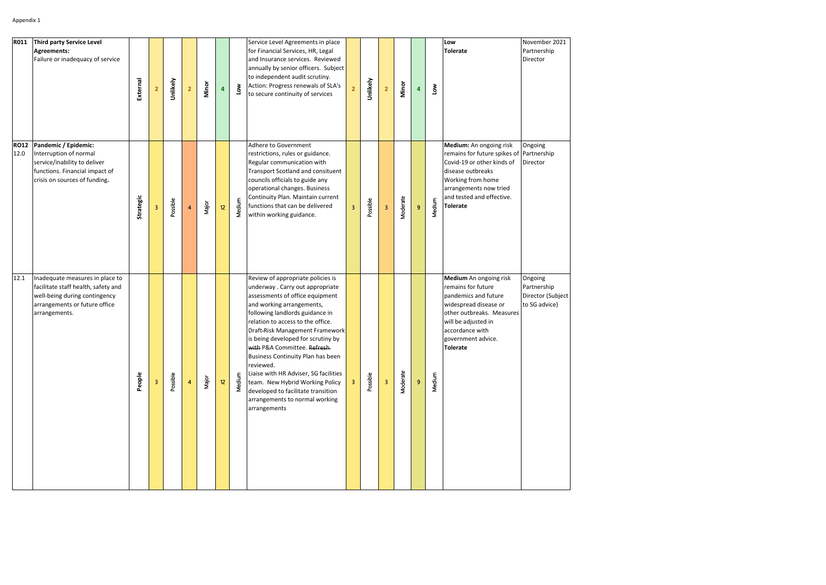| <b>R011</b>         | Third party Service Level<br><b>Agreements:</b><br>Failure or inadequacy of service                                                                       | External  |   | Unlikely | $\overline{2}$ | Minor | 4               | Low    | Service Level Agreements in place<br>for Financial Services, HR, Legal<br>and Insurance services. Reviewed<br>annually by senior officers. Subject<br>to independent audit scrutiny.<br>Action: Progress renewals of SLA's<br>to secure continuity of services                                                                                                                                                                                                                                                                             |                | Unlikely | $\overline{2}$            | Minor    | 4 | $\sum_{i=1}^{\infty}$ | Low<br><b>Tolerate</b>                                                                                                                                                                                                | November 2021<br>Partnership<br>Director                     |
|---------------------|-----------------------------------------------------------------------------------------------------------------------------------------------------------|-----------|---|----------|----------------|-------|-----------------|--------|--------------------------------------------------------------------------------------------------------------------------------------------------------------------------------------------------------------------------------------------------------------------------------------------------------------------------------------------------------------------------------------------------------------------------------------------------------------------------------------------------------------------------------------------|----------------|----------|---------------------------|----------|---|-----------------------|-----------------------------------------------------------------------------------------------------------------------------------------------------------------------------------------------------------------------|--------------------------------------------------------------|
| <b>RO12</b><br>12.0 | Pandemic / Epidemic:<br>Interruption of normal<br>service/inability to deliver<br>functions. Financial impact of<br>crisis on sources of funding.         | Strategic | 3 | Possible | $\overline{4}$ | Major | 12              | Medium | Adhere to Government<br>restrictions, rules or guidance.<br>Regular communication with<br>Transport Scotland and consituent<br>councils officials to guide any<br>operational changes. Business<br>Continuity Plan. Maintain current<br>functions that can be delivered<br>within working guidance.                                                                                                                                                                                                                                        | 3 <sup>7</sup> | Possible | $\ensuremath{\mathsf{3}}$ | Moderate | 9 | Medium                | Medium: An ongoing risk<br>remains for future spikes of Partnership<br>Covid-19 or other kinds of<br>disease outbreaks<br>Working from home<br>arrangements now tried<br>and tested and effective.<br><b>Tolerate</b> | Ongoing<br>Director                                          |
| 12.1                | Inadequate measures in place to<br>facilitate staff health, safety and<br>well-being during contingency<br>arrangements or future office<br>arrangements. | People    |   | Possible | 4              | Major | 12 <sup>2</sup> | Medium | Review of appropriate policies is<br>underway. Carry out appropriate<br>assessments of office equipment<br>and working arrangements,<br>following landlords guidance in<br>relation to access to the office.<br>Draft-Risk Management Framework<br>is being developed for scrutiny by<br>with P&A Committee. Refresh<br>Business Continuity Plan has been<br>reviewed.<br>Liaise with HR Adviser, SG facilities<br>team. New Hybrid Working Policy<br>developed to facilitate transition<br>arrangements to normal working<br>arrangements | $3 -$          | Possible | $\overline{\mathbf{3}}$   | Moderate | 9 | Medium                | Medium An ongoing risk<br>remains for future<br>pandemics and future<br>widespread disease or<br>other outbreaks. Measures<br>will be adjusted in<br>accordance with<br>government advice.<br><b>Tolerate</b>         | Ongoing<br>Partnership<br>Director (Subject<br>to SG advice) |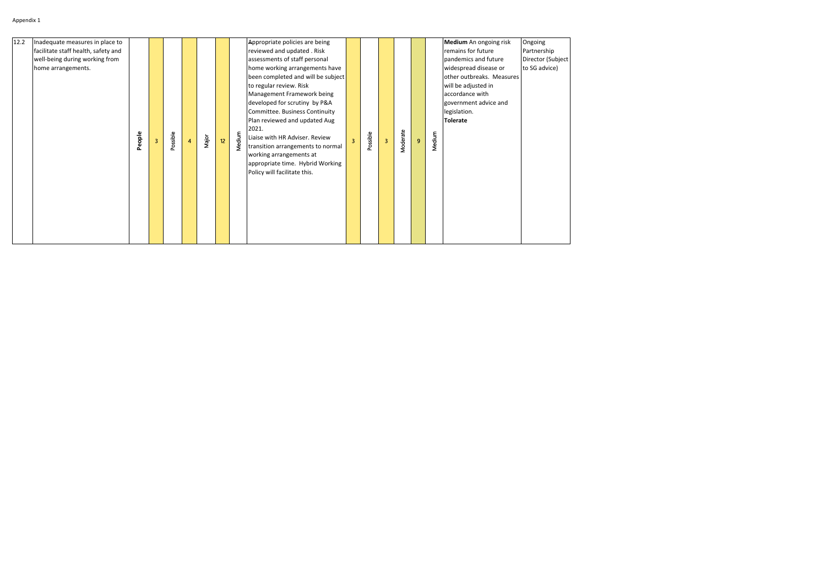| 12.2<br>Inadequate measures in place to<br>facilitate staff health, safety and<br>well-being during working from<br>home arrangements.<br>Medium<br>People<br>Possible<br>Major<br>12 <sub>2</sub><br>$\overline{4}$<br>3 | Appropriate policies are being<br>reviewed and updated . Risk<br>assessments of staff personal<br>home working arrangements have<br>been completed and will be subject<br>to regular review. Risk<br>Management Framework being<br>developed for scrutiny by P&A<br>Committee. Business Continuity<br>Plan reviewed and updated Aug<br>2021.<br>Liaise with HR Adviser. Review<br>$\overline{3}$<br>transition arrangements to normal<br>working arrangements at<br>appropriate time. Hybrid Working<br>Policy will facilitate this. | Possible | $\overline{\mathbf{3}}$ | Moderate | $\overline{9}$ | Medium | Medium An ongoing risk<br>remains for future<br>pandemics and future<br>widespread disease or<br>other outbreaks. Measures<br>will be adjusted in<br>accordance with<br>government advice and<br>legislation.<br>Tolerate | Ongoing<br>Partnership<br>Director (Subject<br>to SG advice) |
|---------------------------------------------------------------------------------------------------------------------------------------------------------------------------------------------------------------------------|--------------------------------------------------------------------------------------------------------------------------------------------------------------------------------------------------------------------------------------------------------------------------------------------------------------------------------------------------------------------------------------------------------------------------------------------------------------------------------------------------------------------------------------|----------|-------------------------|----------|----------------|--------|---------------------------------------------------------------------------------------------------------------------------------------------------------------------------------------------------------------------------|--------------------------------------------------------------|
|---------------------------------------------------------------------------------------------------------------------------------------------------------------------------------------------------------------------------|--------------------------------------------------------------------------------------------------------------------------------------------------------------------------------------------------------------------------------------------------------------------------------------------------------------------------------------------------------------------------------------------------------------------------------------------------------------------------------------------------------------------------------------|----------|-------------------------|----------|----------------|--------|---------------------------------------------------------------------------------------------------------------------------------------------------------------------------------------------------------------------------|--------------------------------------------------------------|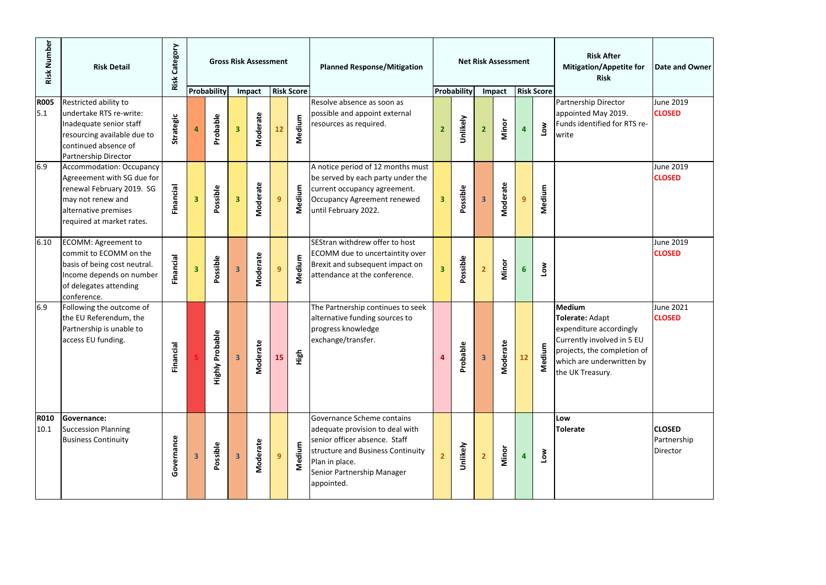| Risk Number         | <b>Risk Detail</b>                                                                                                                                                   | Category<br>Risk |                         |                            |                         | <b>Gross Risk Assessment</b> |                |                   | <b>Planned Response/Mitigation</b>                                                                                                                                                                |                         |             |                         | <b>Net Risk Assessment</b> |                         |                   | <b>Risk After</b><br><b>Mitigation/Appetite for</b><br><b>Risk</b>                                                                                                 | <b>Date and Owner</b>                    |
|---------------------|----------------------------------------------------------------------------------------------------------------------------------------------------------------------|------------------|-------------------------|----------------------------|-------------------------|------------------------------|----------------|-------------------|---------------------------------------------------------------------------------------------------------------------------------------------------------------------------------------------------|-------------------------|-------------|-------------------------|----------------------------|-------------------------|-------------------|--------------------------------------------------------------------------------------------------------------------------------------------------------------------|------------------------------------------|
|                     |                                                                                                                                                                      |                  |                         | Probability                |                         | Impact                       |                | <b>Risk Score</b> |                                                                                                                                                                                                   |                         | Probability |                         | Impact                     |                         | <b>Risk Score</b> |                                                                                                                                                                    |                                          |
| <b>R005</b><br>5.1  | Restricted ability to<br>undertake RTS re-write:<br>Inadequate senior staff<br>resourcing available due to<br>continued absence of<br>Partnership Director           | Strategic        | 4                       | Probable                   | $\overline{\mathbf{3}}$ | Moderate                     | 12             | Medium            | Resolve absence as soon as<br>possible and appoint external<br>resources as required.                                                                                                             |                         | Unlikely    | $\overline{2}$          | Minor                      | $\overline{\mathbf{4}}$ | Low               | Partnership Director<br>appointed May 2019.<br>Funds identified for RTS re-<br>write                                                                               | <b>June 2019</b><br><b>CLOSED</b>        |
| 6.9                 | <b>Accommodation: Occupancy</b><br>Agreeement with SG due for<br>renewal February 2019. SG<br>may not renew and<br>alternative premises<br>required at market rates. | Financial        | $\overline{\mathbf{3}}$ | Possible                   | $\overline{\mathbf{3}}$ | Moderate                     | 9              | Medium            | A notice period of 12 months must<br>be served by each party under the<br>current occupancy agreement.<br>Occupancy Agreement renewed<br>until February 2022.                                     | $\overline{\mathbf{3}}$ | Possible    | $\overline{\mathbf{3}}$ | Moderate                   | 9                       | Medium            |                                                                                                                                                                    | June 2019<br><b>CLOSED</b>               |
| 6.10                | <b>ECOMM: Agreement to</b><br>commit to ECOMM on the<br>basis of being cost neutral.<br>Income depends on number<br>of delegates attending<br>conference.            | Financial        | $\overline{\mathbf{3}}$ | Possible                   | $\overline{\mathbf{3}}$ | Moderate                     | 9              | Medium            | SEStran withdrew offer to host<br>ECOMM due to uncertaintity over<br>Brexit and subsequent impact on<br>attendance at the conference.                                                             | $\overline{\mathbf{3}}$ | Possible    | 2 <sup>1</sup>          | Minor                      | $6 \nightharpoonup$     | Low               |                                                                                                                                                                    | June 2019<br><b>CLOSED</b>               |
| 6.9                 | Following the outcome of<br>the EU Referendum, the<br>Partnership is unable to<br>access EU funding.                                                                 | Financi          |                         | bable<br><b>Highly Pro</b> | $\overline{\mathbf{3}}$ | Moderate                     | 15             | High              | The Partnership continues to seek<br>alternative funding sources to<br>progress knowledge<br>exchange/transfer.                                                                                   | 4                       | Probable    | $\overline{\mathbf{3}}$ | Moderate                   | 12                      | ε<br>Mediu        | Medium<br>Tolerate: Adapt<br>expenditure accordingly<br>Currently involved in 5 EU<br>projects, the completion of<br>which are underwritten by<br>the UK Treasury. | <b>June 2021</b><br><b>CLOSED</b>        |
| <b>R010</b><br>10.1 | <b>Governance:</b><br><b>Succession Planning</b><br><b>Business Continuity</b>                                                                                       | Governance       | $\overline{\mathbf{3}}$ | Possible                   | $\overline{\mathbf{3}}$ | Moderate                     | 9 <sup>°</sup> | Medium            | Governance Scheme contains<br>adequate provision to deal with<br>senior officer absence. Staff<br>structure and Business Continuity<br>Plan in place.<br>Senior Partnership Manager<br>appointed. |                         | Unlikely    | $\overline{2}$          | Minor                      | 4                       | Low               | Low<br><b>Tolerate</b>                                                                                                                                             | <b>CLOSED</b><br>Partnership<br>Director |